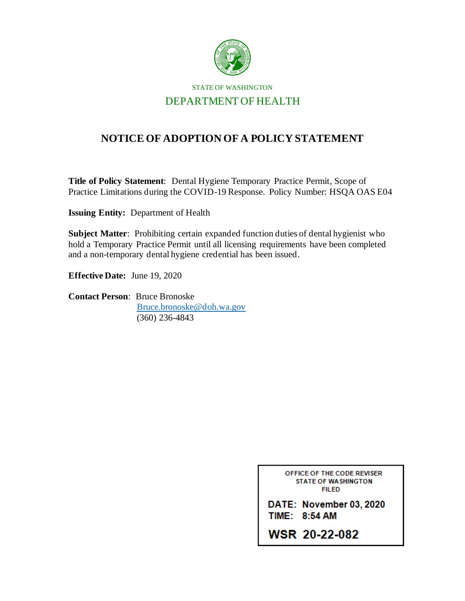

STATE OF WASHINGTON DEPARTMENT OF HEALTH

## **NOTICE OF ADOPTION OF A POLICY STATEMENT**

**Title of Policy Statement**: Dental Hygiene Temporary Practice Permit, Scope of Practice Limitations during the COVID-19 Response. Policy Number: HSQA OAS E04

**Issuing Entity:** Department of Health

**Subject Matter**: Prohibiting certain expanded function duties of dental hygienist who hold a Temporary Practice Permit until all licensing requirements have been completed and a non-temporary dental hygiene credential has been issued.

**Effective Date:** June 19, 2020

**Contact Person**: Bruce Bronoske [Bruce.bronoske@doh.wa.gov](mailto:Bruce.bronoske@doh.wa.gov) (360) 236-4843

> OFFICE OF THE CODE REVISER **STATE OF WASHINGTON FILED**

DATE: November 03, 2020 TIME: 8:54 AM

**WSR 20-22-082**